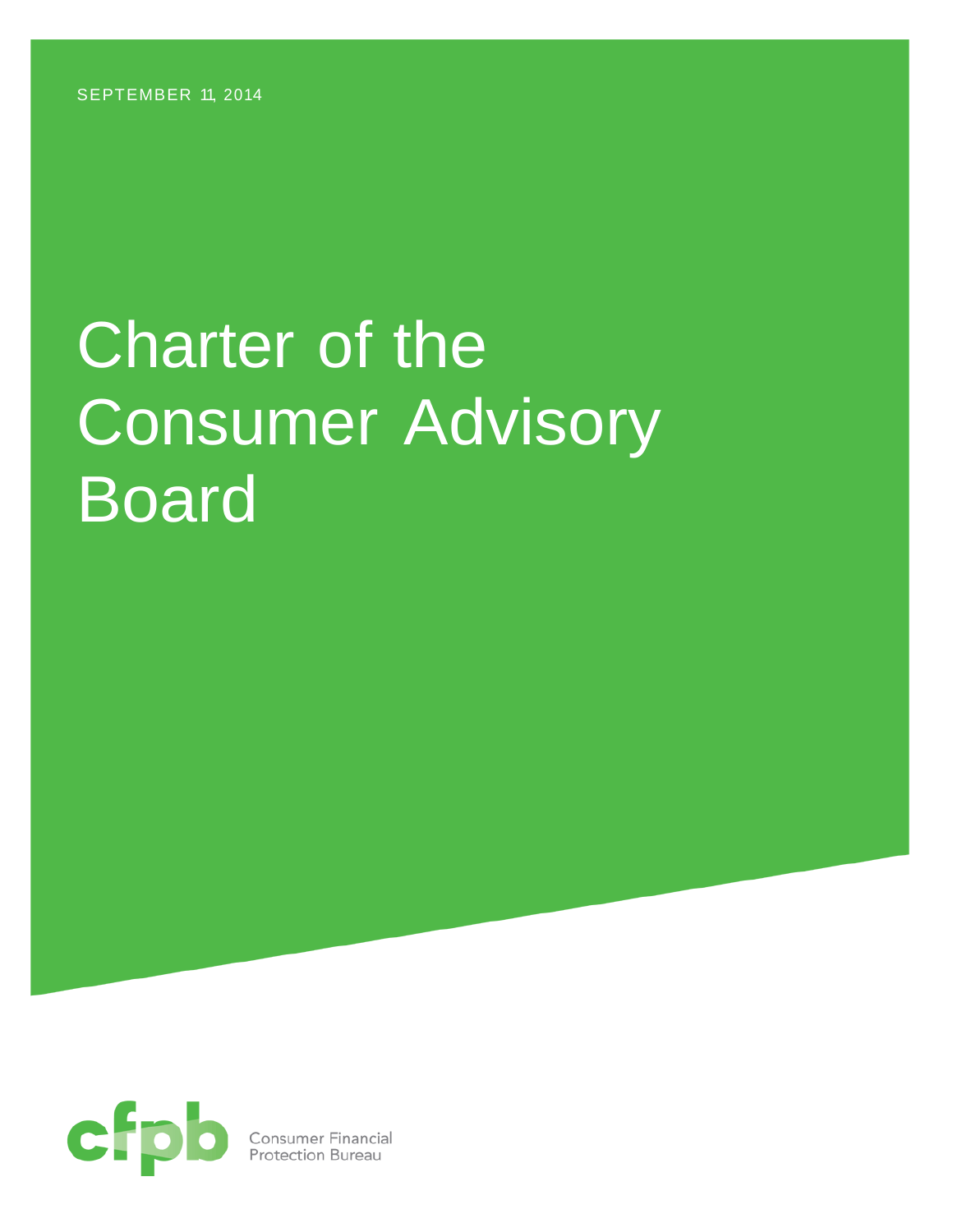SEPTEMBER 11, 2014

# Charter of the Consumer Advisory Board

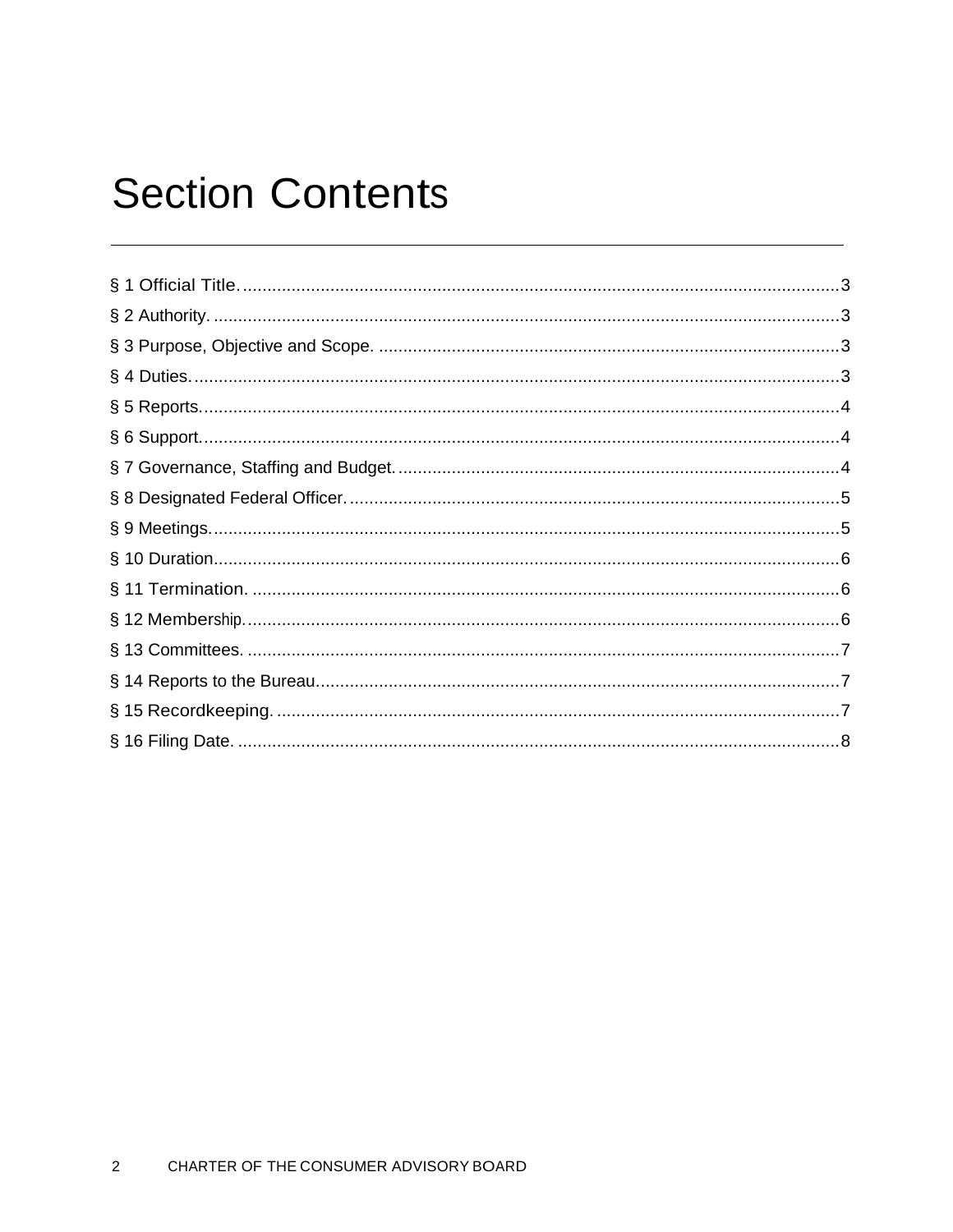# **Section Contents**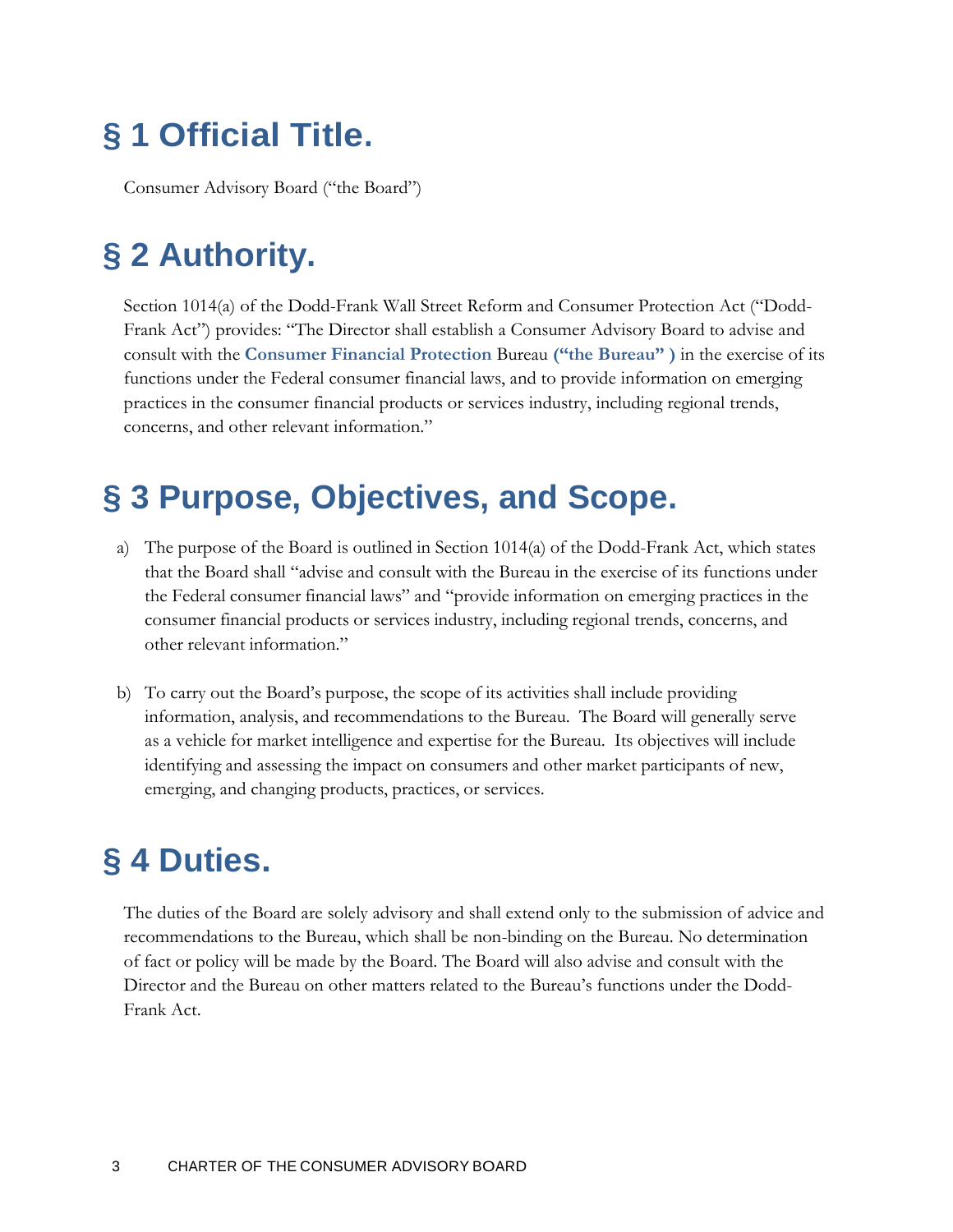# <span id="page-2-0"></span>**§ 1 Official Title.**

<span id="page-2-1"></span>Consumer Advisory Board ("the Board")

# **§ 2 Authority.**

Section 1014(a) of the Dodd-Frank Wall Street Reform and Consumer Protection Act ("Dodd-Frank Act") provides: "The Director shall establish a Consumer Advisory Board to advise and consult with the **Consumer Financial Protection** Bureau **("the Bureau" )** in the exercise of its functions under the Federal consumer financial laws, and to provide information on emerging practices in the consumer financial products or services industry, including regional trends, concerns, and other relevant information."

## <span id="page-2-2"></span>**§ 3 Purpose, Objectives, and Scope.**

- a) The purpose of the Board is outlined in Section 1014(a) of the Dodd-Frank Act, which states that the Board shall "advise and consult with the Bureau in the exercise of its functions under the Federal consumer financial laws" and "provide information on emerging practices in the consumer financial products or services industry, including regional trends, concerns, and other relevant information."
- b) To carry out the Board's purpose, the scope of its activities shall include providing information, analysis, and recommendations to the Bureau. The Board will generally serve as a vehicle for market intelligence and expertise for the Bureau. Its objectives will include identifying and assessing the impact on consumers and other market participants of new, emerging, and changing products, practices, or services.

# <span id="page-2-3"></span>**§ 4 Duties.**

The duties of the Board are solely advisory and shall extend only to the submission of advice and recommendations to the Bureau, which shall be non-binding on the Bureau. No determination of fact or policy will be made by the Board. The Board will also advise and consult with the Director and the Bureau on other matters related to the Bureau's functions under the Dodd-Frank Act.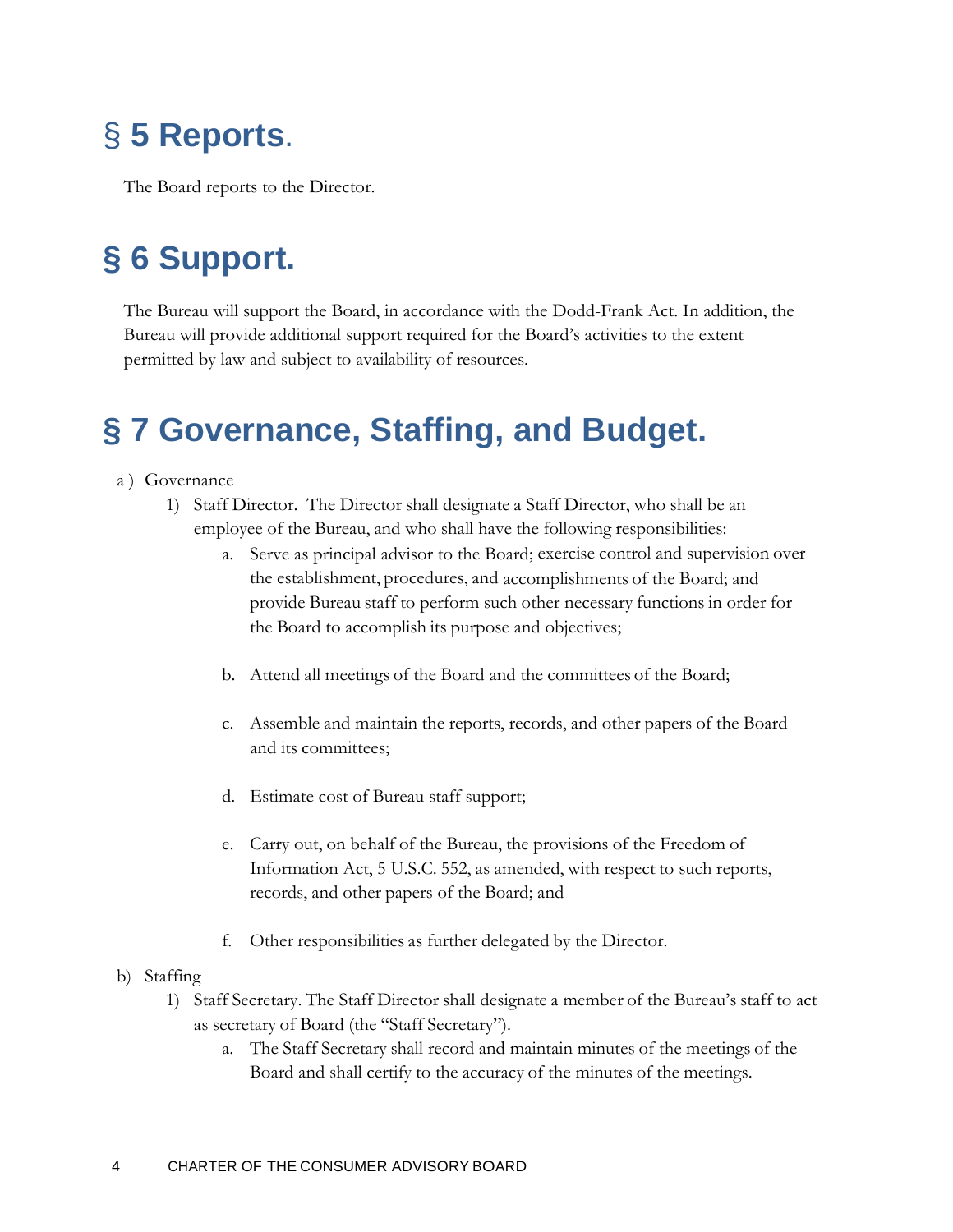# <span id="page-3-0"></span>§ **5 Reports**.

The Board reports to the Director.

# <span id="page-3-1"></span>**§ 6 Support.**

The Bureau will support the Board, in accordance with the Dodd-Frank Act. In addition, the Bureau will provide additional support required for the Board's activities to the extent permitted by law and subject to availability of resources.

# <span id="page-3-2"></span>**§ 7 Governance, Staffing, and Budget.**

#### a ) Governance

- 1) Staff Director. The Director shall designate a Staff Director, who shall be an employee of the Bureau, and who shall have the following responsibilities:
	- a. Serve as principal advisor to the Board; exercise control and supervision over the establishment, procedures, and accomplishments of the Board; and provide Bureau staff to perform such other necessary functions in order for the Board to accomplish its purpose and objectives;
	- b. Attend all meetings of the Board and the committees of the Board;
	- c. Assemble and maintain the reports, records, and other papers of the Board and its committees;
	- d. Estimate cost of Bureau staff support;
	- e. Carry out, on behalf of the Bureau, the provisions of the Freedom of Information Act, 5 U.S.C. 552, as amended, with respect to such reports, records, and other papers of the Board; and
	- f. Other responsibilities as further delegated by the Director.
- b) Staffing
	- 1) Staff Secretary. The Staff Director shall designate a member of the Bureau's staff to act as secretary of Board (the "Staff Secretary").
		- a. The Staff Secretary shall record and maintain minutes of the meetings of the Board and shall certify to the accuracy of the minutes of the meetings.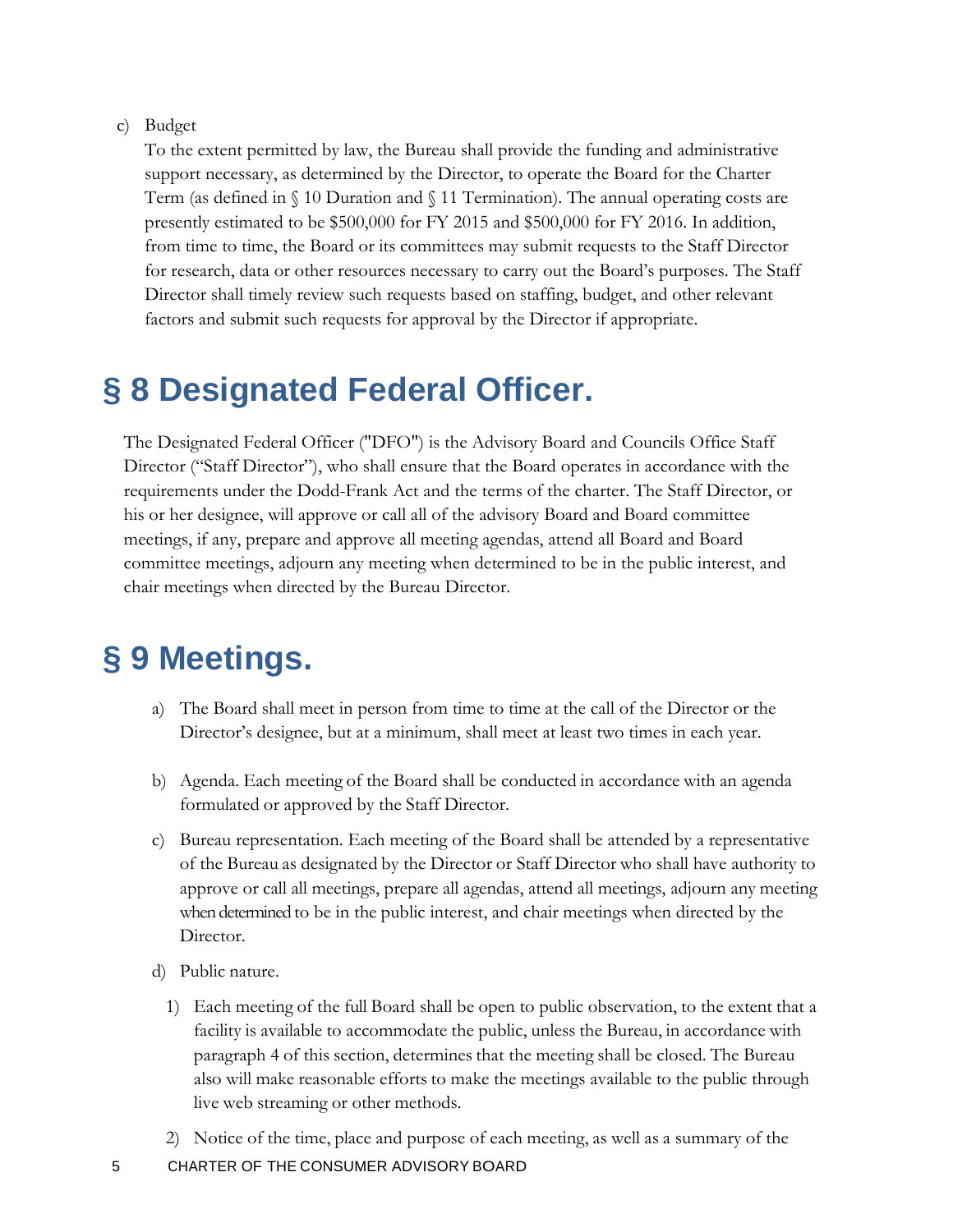#### c) Budget

To the extent permitted by law, the Bureau shall provide the funding and administrative support necessary, as determined by the Director, to operate the Board for the Charter Term (as defined in  $\S$  10 Duration and  $\S$  11 Termination). The annual operating costs are presently estimated to be \$500,000 for FY 2015 and \$500,000 for FY 2016. In addition, from time to time, the Board or its committees may submit requests to the Staff Director for research, data or other resources necessary to carry out the Board's purposes. The Staff Director shall timely review such requests based on staffing, budget, and other relevant factors and submit such requests for approval by the Director if appropriate.

## <span id="page-4-0"></span>**§ 8 Designated Federal Officer.**

The Designated Federal Officer ("DFO") is the Advisory Board and Councils Office Staff Director ("Staff Director"), who shall ensure that the Board operates in accordance with the requirements under the Dodd-Frank Act and the terms of the charter. The Staff Director, or his or her designee, will approve or call all of the advisory Board and Board committee meetings, if any, prepare and approve all meeting agendas, attend all Board and Board committee meetings, adjourn any meeting when determined to be in the public interest, and chair meetings when directed by the Bureau Director.

### <span id="page-4-1"></span>**§ 9 Meetings.**

- a) The Board shall meet in person from time to time at the call of the Director or the Director's designee, but at a minimum, shall meet at least two times in each year.
- b) Agenda. Each meeting of the Board shall be conducted in accordance with an agenda formulated or approved by the Staff Director.
- c) Bureau representation. Each meeting of the Board shall be attended by a representative of the Bureau as designated by the Director or Staff Director who shall have authority to approve or call all meetings, prepare all agendas, attend all meetings, adjourn any meeting when determined to be in the public interest, and chair meetings when directed by the Director.
- d) Public nature.
	- 1) Each meeting of the full Board shall be open to public observation, to the extent that a facility is available to accommodate the public, unless the Bureau, in accordance with paragraph 4 of this section, determines that the meeting shall be closed. The Bureau also will make reasonable efforts to make the meetings available to the public through live web streaming or other methods.
	- 2) Notice of the time, place and purpose of each meeting, as well as a summary of the
- 5 CHARTER OF THE CONSUMER ADVISORY BOARD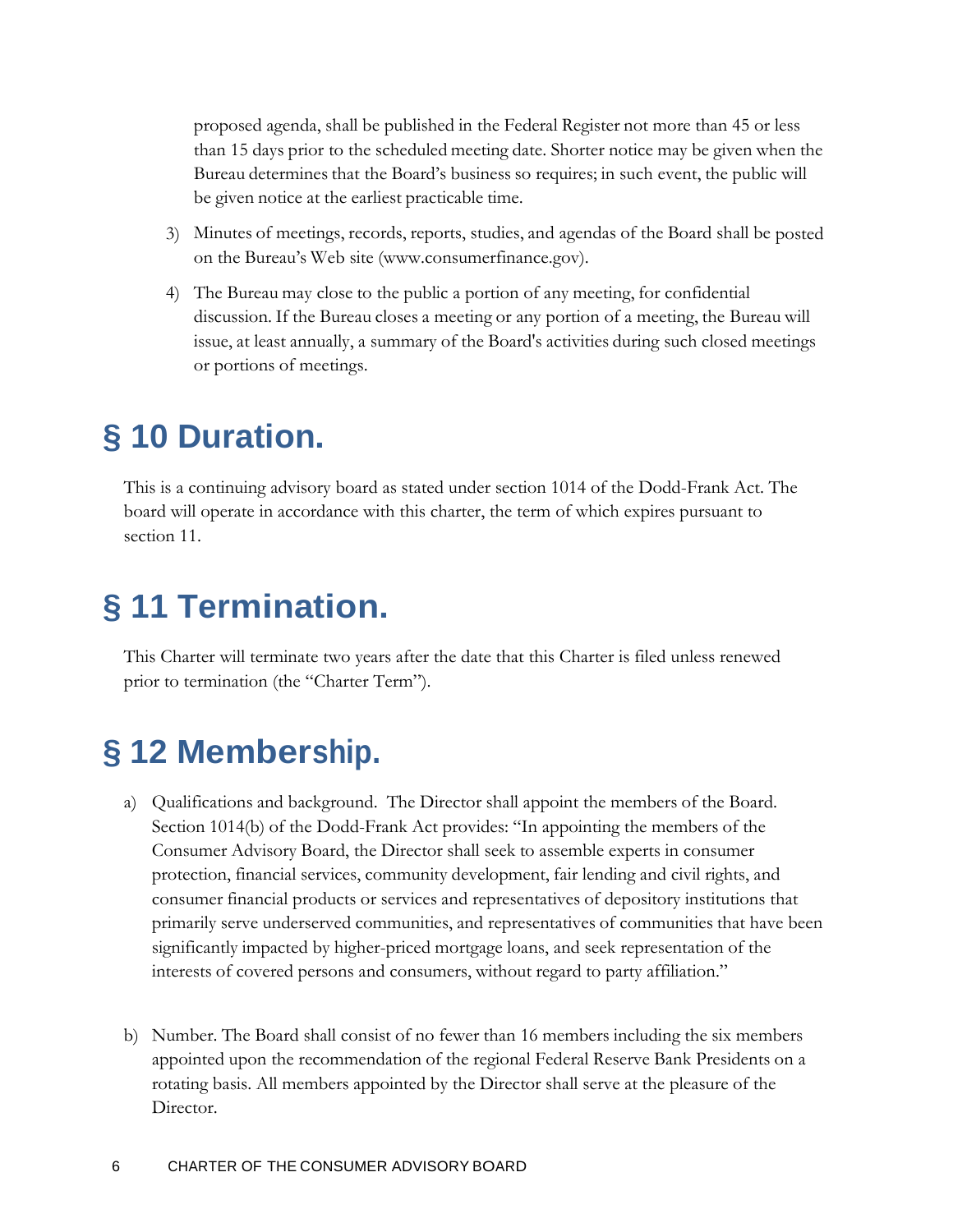proposed agenda, shall be published in the Federal Register not more than 45 or less than 15 days prior to the scheduled meeting date. Shorter notice may be given when the Bureau determines that the Board's business so requires; in such event, the public will be given notice at the earliest practicable time.

- 3) Minutes of meetings, records, reports, studies, and agendas of the Board shall be posted on the Bureau's Web site (www.consumerfinance.gov).
- 4) The Bureau may close to the public a portion of any meeting, for confidential discussion. If the Bureau closes a meeting or any portion of a meeting, the Bureau will issue, at least annually, a summary of the Board's activities during such closed meetings or portions of meetings.

### <span id="page-5-0"></span>**§ 10 Duration.**

This is a continuing advisory board as stated under section 1014 of the Dodd-Frank Act. The board will operate in accordance with this charter, the term of which expires pursuant to section 11.

# <span id="page-5-1"></span>**§ 11 Termination.**

This Charter will terminate two years after the date that this Charter is filed unless renewed prior to termination (the "Charter Term").

# <span id="page-5-2"></span>**§ 12 Membership.**

- a) Qualifications and background. The Director shall appoint the members of the Board. Section 1014(b) of the Dodd-Frank Act provides: "In appointing the members of the Consumer Advisory Board, the Director shall seek to assemble experts in consumer protection, financial services, community development, fair lending and civil rights, and consumer financial products or services and representatives of depository institutions that primarily serve underserved communities, and representatives of communities that have been significantly impacted by higher-priced mortgage loans, and seek representation of the interests of covered persons and consumers, without regard to party affiliation."
- b) Number. The Board shall consist of no fewer than 16 members including the six members appointed upon the recommendation of the regional Federal Reserve Bank Presidents on a rotating basis. All members appointed by the Director shall serve at the pleasure of the Director.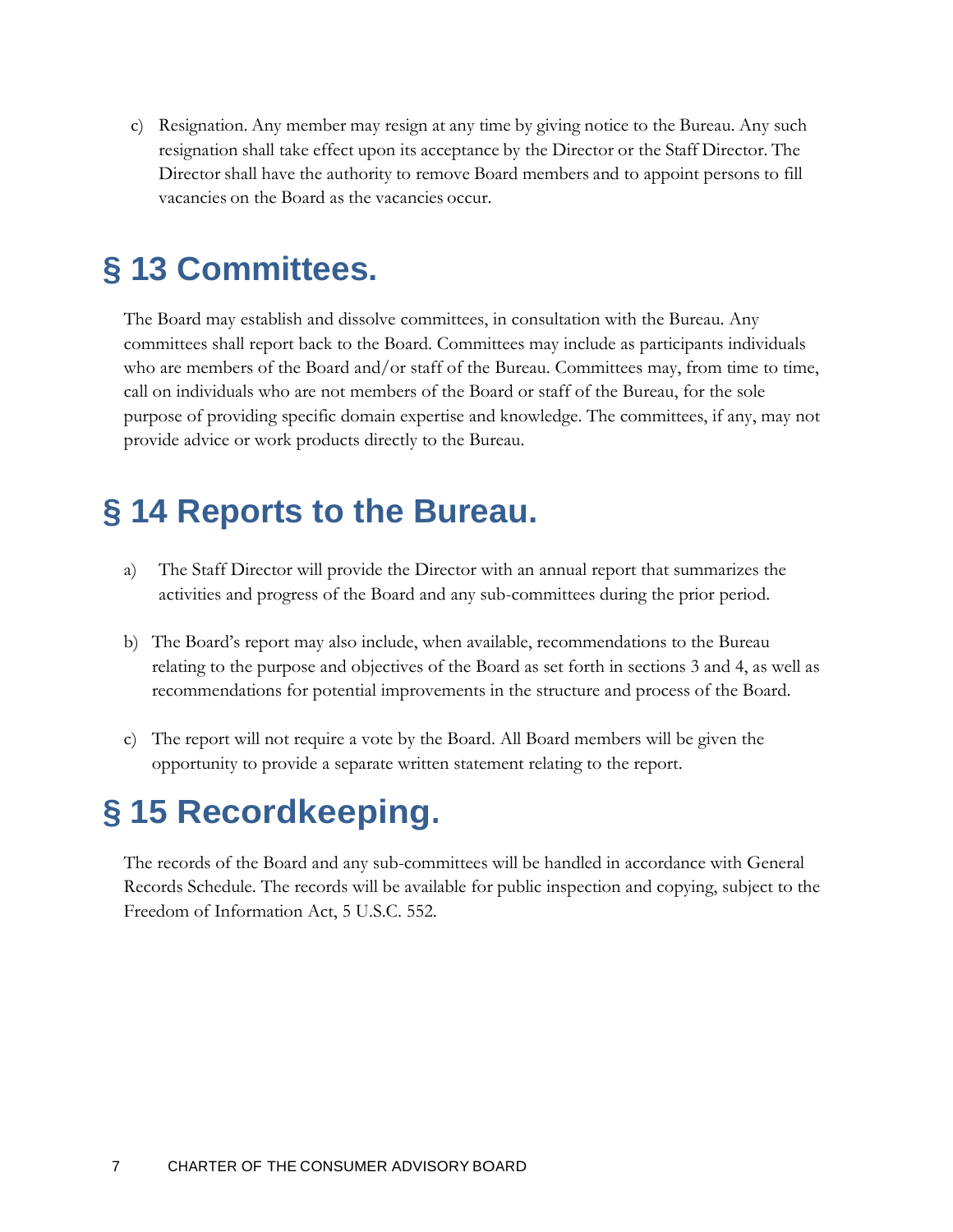c) Resignation. Any member may resign at any time by giving notice to the Bureau. Any such resignation shall take effect upon its acceptance by the Director or the Staff Director. The Director shall have the authority to remove Board members and to appoint persons to fill vacancies on the Board as the vacancies occur.

### <span id="page-6-0"></span>**§ 13 Committees.**

The Board may establish and dissolve committees, in consultation with the Bureau. Any committees shall report back to the Board. Committees may include as participants individuals who are members of the Board and/or staff of the Bureau. Committees may, from time to time, call on individuals who are not members of the Board or staff of the Bureau, for the sole purpose of providing specific domain expertise and knowledge. The committees, if any, may not provide advice or work products directly to the Bureau.

### <span id="page-6-1"></span>**§ 14 Reports to the Bureau.**

- a) The Staff Director will provide the Director with an annual report that summarizes the activities and progress of the Board and any sub-committees during the prior period.
- b) The Board's report may also include, when available, recommendations to the Bureau relating to the purpose and objectives of the Board as set forth in sections 3 and 4, as well as recommendations for potential improvements in the structure and process of the Board.
- c) The report will not require a vote by the Board. All Board members will be given the opportunity to provide a separate written statement relating to the report.

# <span id="page-6-2"></span>**§ 15 Recordkeeping.**

The records of the Board and any sub-committees will be handled in accordance with General Records Schedule. The records will be available for public inspection and copying, subject to the Freedom of Information Act, 5 U.S.C. 552.